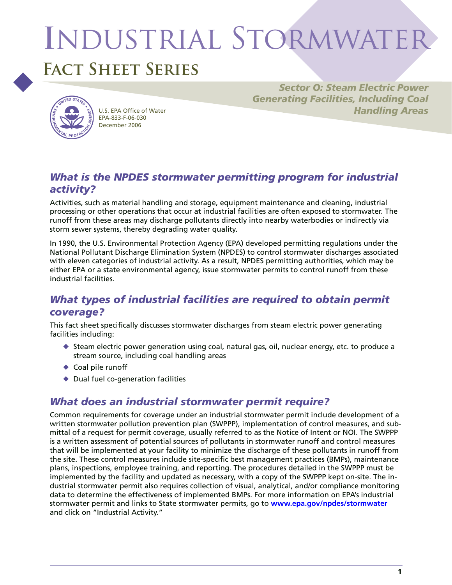# **I**ndustrial Stormwater



# **Fact Sheet Series**



EPA-833-F-06-030 December 2006

*Sector O: Steam Electric Power Generating Facilities, Including Coal*  U.S. EPA Office of Water *Handling Areas Handling Areas* 

# *What is the NPDES stormwater permitting program for industrial activity?*

Activities, such as material handling and storage, equipment maintenance and cleaning, industrial processing or other operations that occur at industrial facilities are often exposed to stormwater. The runoff from these areas may discharge pollutants directly into nearby waterbodies or indirectly via storm sewer systems, thereby degrading water quality.

In 1990, the U.S. Environmental Protection Agency (EPA) developed permitting regulations under the National Pollutant Discharge Elimination System (NPDES) to control stormwater discharges associated with eleven categories of industrial activity. As a result, NPDES permitting authorities, which may be either EPA or a state environmental agency, issue stormwater permits to control runoff from these industrial facilities.

# *What types of industrial facilities are required to obtain permit coverage?*

This fact sheet specifically discusses stormwater discharges from steam electric power generating facilities including:

- $\blacklozenge$  Steam electric power generation using coal, natural gas, oil, nuclear energy, etc. to produce a stream source, including coal handling areas
- ◆ Coal pile runoff
- ◆ Dual fuel co-generation facilities

# *What does an industrial stormwater permit require?*

Common requirements for coverage under an industrial stormwater permit include development of a written stormwater pollution prevention plan (SWPPP), implementation of control measures, and submittal of a request for permit coverage, usually referred to as the Notice of Intent or NOI. The SWPPP is a written assessment of potential sources of pollutants in stormwater runoff and control measures that will be implemented at your facility to minimize the discharge of these pollutants in runoff from the site. These control measures include site-specific best management practices (BMPs), maintenance plans, inspections, employee training, and reporting. The procedures detailed in the SWPPP must be implemented by the facility and updated as necessary, with a copy of the SWPPP kept on-site. The industrial stormwater permit also requires collection of visual, analytical, and/or compliance monitoring data to determine the effectiveness of implemented BMPs. For more information on EPA's industrial stormwater permit and links to State stormwater permits, go to **[www.epa.gov/npdes/stormwater](http://www.epa.gov/npdes/stormwater)**  and click on "Industrial Activity."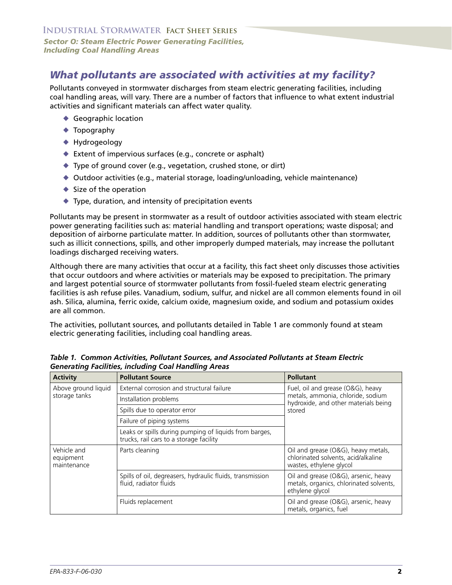# *What pollutants are associated with activities at my facility?*

Pollutants conveyed in stormwater discharges from steam electric generating facilities, including coal handling areas, will vary. There are a number of factors that influence to what extent industrial activities and significant materials can affect water quality.

- ◆ Geographic location
- ◆ Topography
- ◆ Hydrogeology
- ◆ Extent of impervious surfaces (e.g., concrete or asphalt)
- ◆ Type of ground cover (e.g., vegetation, crushed stone, or dirt)
- ◆ Outdoor activities (e.g., material storage, loading/unloading, vehicle maintenance)
- $\blacklozenge$  Size of the operation
- ◆ Type, duration, and intensity of precipitation events

Pollutants may be present in stormwater as a result of outdoor activities associated with steam electric power generating facilities such as: material handling and transport operations; waste disposal; and deposition of airborne particulate matter. In addition, sources of pollutants other than stormwater, such as illicit connections, spills, and other improperly dumped materials, may increase the pollutant loadings discharged receiving waters.

Although there are many activities that occur at a facility, this fact sheet only discusses those activities that occur outdoors and where activities or materials may be exposed to precipitation. The primary and largest potential source of stormwater pollutants from fossil-fueled steam electric generating facilities is ash refuse piles. Vanadium, sodium, sulfur, and nickel are all common elements found in oil ash. Silica, alumina, ferric oxide, calcium oxide, magnesium oxide, and sodium and potassium oxides are all common.

The activities, pollutant sources, and pollutants detailed in Table 1 are commonly found at steam electric generating facilities, including coal handling areas.

| <b>Activity</b>                         | <b>Pollutant Source</b>                                                                           | <b>Pollutant</b>                                                                                                         |
|-----------------------------------------|---------------------------------------------------------------------------------------------------|--------------------------------------------------------------------------------------------------------------------------|
| Above ground liquid<br>storage tanks    | External corrosion and structural failure                                                         | Fuel, oil and grease (O&G), heavy<br>metals, ammonia, chloride, sodium<br>hydroxide, and other materials being<br>stored |
|                                         | Installation problems                                                                             |                                                                                                                          |
|                                         | Spills due to operator error                                                                      |                                                                                                                          |
|                                         | Failure of piping systems                                                                         |                                                                                                                          |
|                                         | Leaks or spills during pumping of liquids from barges,<br>trucks, rail cars to a storage facility |                                                                                                                          |
| Vehicle and<br>equipment<br>maintenance | Parts cleaning                                                                                    | Oil and grease (O&G), heavy metals,<br>chlorinated solvents, acid/alkaline<br>wastes, ethylene glycol                    |
|                                         | Spills of oil, degreasers, hydraulic fluids, transmission<br>fluid, radiator fluids               | Oil and grease (O&G), arsenic, heavy<br>metals, organics, chlorinated solvents,<br>ethylene glycol                       |
|                                         | Fluids replacement                                                                                | Oil and grease (O&G), arsenic, heavy<br>metals, organics, fuel                                                           |

*Table 1. Common Activities, Pollutant Sources, and Associated Pollutants at Steam Electric Generating Facilities, including Coal Handling Areas*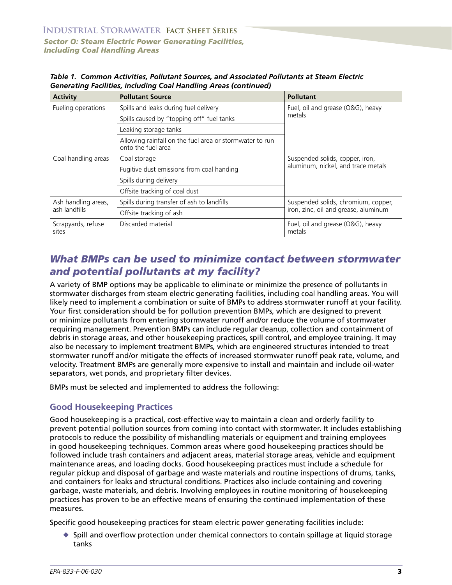| <b>Activity</b>                      | <b>Pollutant Source</b>                                                       | <b>Pollutant</b>                                                            |
|--------------------------------------|-------------------------------------------------------------------------------|-----------------------------------------------------------------------------|
| Fueling operations                   | Spills and leaks during fuel delivery                                         | Fuel, oil and grease (O&G), heavy<br>metals                                 |
|                                      | Spills caused by "topping off" fuel tanks                                     |                                                                             |
|                                      | Leaking storage tanks                                                         |                                                                             |
|                                      | Allowing rainfall on the fuel area or stormwater to run<br>onto the fuel area |                                                                             |
| Coal handling areas                  | Coal storage                                                                  | Suspended solids, copper, iron,<br>aluminum, nickel, and trace metals       |
|                                      | Fugitive dust emissions from coal handing                                     |                                                                             |
|                                      | Spills during delivery                                                        |                                                                             |
|                                      | Offsite tracking of coal dust                                                 |                                                                             |
| Ash handling areas,<br>ash landfills | Spills during transfer of ash to landfills                                    | Suspended solids, chromium, copper,<br>iron, zinc, oil and grease, aluminum |
|                                      | Offsite tracking of ash                                                       |                                                                             |
| Scrapyards, refuse<br>sites          | Discarded material                                                            | Fuel, oil and grease (O&G), heavy<br>metals                                 |

*Table 1. Common Activities, Pollutant Sources, and Associated Pollutants at Steam Electric Generating Facilities, including Coal Handling Areas (continued)*

# *What BMPs can be used to minimize contact between stormwater and potential pollutants at my facility?*

A variety of BMP options may be applicable to eliminate or minimize the presence of pollutants in stormwater discharges from steam electric generating facilities, including coal handling areas. You will likely need to implement a combination or suite of BMPs to address stormwater runoff at your facility. Your first consideration should be for pollution prevention BMPs, which are designed to prevent or minimize pollutants from entering stormwater runoff and/or reduce the volume of stormwater requiring management. Prevention BMPs can include regular cleanup, collection and containment of debris in storage areas, and other housekeeping practices, spill control, and employee training. It may also be necessary to implement treatment BMPs, which are engineered structures intended to treat stormwater runoff and/or mitigate the effects of increased stormwater runoff peak rate, volume, and velocity. Treatment BMPs are generally more expensive to install and maintain and include oil-water separators, wet ponds, and proprietary filter devices.

BMPs must be selected and implemented to address the following:

#### **Good Housekeeping Practices**

Good housekeeping is a practical, cost-effective way to maintain a clean and orderly facility to prevent potential pollution sources from coming into contact with stormwater. It includes establishing protocols to reduce the possibility of mishandling materials or equipment and training employees in good housekeeping techniques. Common areas where good housekeeping practices should be followed include trash containers and adjacent areas, material storage areas, vehicle and equipment maintenance areas, and loading docks. Good housekeeping practices must include a schedule for regular pickup and disposal of garbage and waste materials and routine inspections of drums, tanks, and containers for leaks and structural conditions. Practices also include containing and covering garbage, waste materials, and debris. Involving employees in routine monitoring of housekeeping practices has proven to be an effective means of ensuring the continued implementation of these measures.

Specific good housekeeping practices for steam electric power generating facilities include:

 $\blacklozenge$  Spill and overflow protection under chemical connectors to contain spillage at liquid storage tanks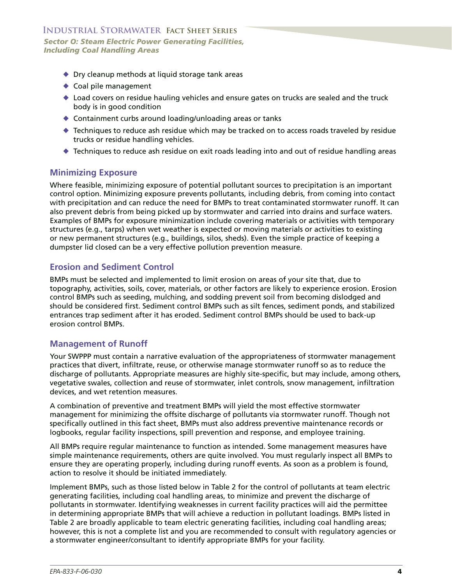- ◆ Dry cleanup methods at liquid storage tank areas
- ◆ Coal pile management
- ◆ Load covers on residue hauling vehicles and ensure gates on trucks are sealed and the truck body is in good condition
- ◆ Containment curbs around loading/unloading areas or tanks
- Techniques to reduce ash residue which may be tracked on to access roads traveled by residue trucks or residue handling vehicles.
- Techniques to reduce ash residue on exit roads leading into and out of residue handling areas

#### **Minimizing Exposure**

Where feasible, minimizing exposure of potential pollutant sources to precipitation is an important control option. Minimizing exposure prevents pollutants, including debris, from coming into contact with precipitation and can reduce the need for BMPs to treat contaminated stormwater runoff. It can also prevent debris from being picked up by stormwater and carried into drains and surface waters. Examples of BMPs for exposure minimization include covering materials or activities with temporary structures (e.g., tarps) when wet weather is expected or moving materials or activities to existing or new permanent structures (e.g., buildings, silos, sheds). Even the simple practice of keeping a dumpster lid closed can be a very effective pollution prevention measure.

#### **Erosion and Sediment Control**

BMPs must be selected and implemented to limit erosion on areas of your site that, due to topography, activities, soils, cover, materials, or other factors are likely to experience erosion. Erosion control BMPs such as seeding, mulching, and sodding prevent soil from becoming dislodged and should be considered first. Sediment control BMPs such as silt fences, sediment ponds, and stabilized entrances trap sediment after it has eroded. Sediment control BMPs should be used to back-up erosion control BMPs.

#### **Management of Runoff**

Your SWPPP must contain a narrative evaluation of the appropriateness of stormwater management practices that divert, infiltrate, reuse, or otherwise manage stormwater runoff so as to reduce the discharge of pollutants. Appropriate measures are highly site-specific, but may include, among others, vegetative swales, collection and reuse of stormwater, inlet controls, snow management, infiltration devices, and wet retention measures.

A combination of preventive and treatment BMPs will yield the most effective stormwater management for minimizing the offsite discharge of pollutants via stormwater runoff. Though not specifically outlined in this fact sheet, BMPs must also address preventive maintenance records or logbooks, regular facility inspections, spill prevention and response, and employee training.

All BMPs require regular maintenance to function as intended. Some management measures have simple maintenance requirements, others are quite involved. You must regularly inspect all BMPs to ensure they are operating properly, including during runoff events. As soon as a problem is found, action to resolve it should be initiated immediately.

Implement BMPs, such as those listed below in Table 2 for the control of pollutants at team electric generating facilities, including coal handling areas, to minimize and prevent the discharge of pollutants in stormwater. Identifying weaknesses in current facility practices will aid the permittee in determining appropriate BMPs that will achieve a reduction in pollutant loadings. BMPs listed in Table 2 are broadly applicable to team electric generating facilities, including coal handling areas; however, this is not a complete list and you are recommended to consult with regulatory agencies or a stormwater engineer/consultant to identify appropriate BMPs for your facility.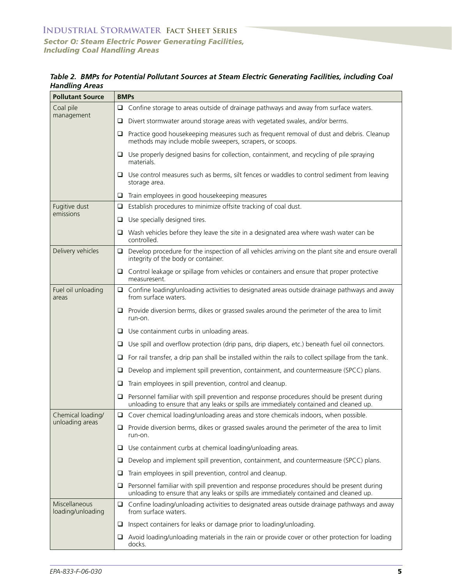*Sector O: Steam Electric Power Generating Facilities, Including Coal Handling Areas* 

*Table 2. BMPs for Potential Pollutant Sources at Steam Electric Generating Facilities, including Coal Handling Areas* 

| <b>Pollutant Source</b>              | <b>BMPs</b>                                                                                                                                                                               |  |
|--------------------------------------|-------------------------------------------------------------------------------------------------------------------------------------------------------------------------------------------|--|
| Coal pile<br>management              | Confine storage to areas outside of drainage pathways and away from surface waters.                                                                                                       |  |
|                                      | Divert stormwater around storage areas with vegetated swales, and/or berms.<br>u                                                                                                          |  |
|                                      | Practice good housekeeping measures such as frequent removal of dust and debris. Cleanup<br>u.<br>methods may include mobile sweepers, scrapers, or scoops.                               |  |
|                                      | $\Box$ Use properly designed basins for collection, containment, and recycling of pile spraying<br>materials.                                                                             |  |
|                                      | $\Box$ Use control measures such as berms, silt fences or waddles to control sediment from leaving<br>storage area.                                                                       |  |
|                                      | Train employees in good housekeeping measures<br>O.                                                                                                                                       |  |
| Fugitive dust                        | Establish procedures to minimize offsite tracking of coal dust.<br>Q.                                                                                                                     |  |
| emissions                            | Use specially designed tires.                                                                                                                                                             |  |
|                                      | $\Box$ Wash vehicles before they leave the site in a designated area where wash water can be<br>controlled.                                                                               |  |
| Delivery vehicles                    | Develop procedure for the inspection of all vehicles arriving on the plant site and ensure overall<br>integrity of the body or container.                                                 |  |
|                                      | $\Box$ Control leakage or spillage from vehicles or containers and ensure that proper protective<br>measuresent.                                                                          |  |
| Fuel oil unloading<br>areas          | $\Box$ Confine loading/unloading activities to designated areas outside drainage pathways and away<br>from surface waters.                                                                |  |
|                                      | $\Box$ Provide diversion berms, dikes or grassed swales around the perimeter of the area to limit<br>run-on.                                                                              |  |
|                                      | $\Box$ Use containment curbs in unloading areas.                                                                                                                                          |  |
|                                      | Use spill and overflow protection (drip pans, drip diapers, etc.) beneath fuel oil connectors.<br>u.                                                                                      |  |
|                                      | $\Box$ For rail transfer, a drip pan shall be installed within the rails to collect spillage from the tank.                                                                               |  |
|                                      | Develop and implement spill prevention, containment, and countermeasure (SPCC) plans.<br>u                                                                                                |  |
|                                      | Train employees in spill prevention, control and cleanup.<br>u.                                                                                                                           |  |
|                                      | Personnel familiar with spill prevention and response procedures should be present during<br>Q.<br>unloading to ensure that any leaks or spills are immediately contained and cleaned up. |  |
| Chemical loading/<br>unloading areas | $\Box$ Cover chemical loading/unloading areas and store chemicals indoors, when possible.                                                                                                 |  |
|                                      | Provide diversion berms, dikes or grassed swales around the perimeter of the area to limit<br>u.<br>run-on.                                                                               |  |
|                                      | Use containment curbs at chemical loading/unloading areas.<br>o.                                                                                                                          |  |
|                                      | Develop and implement spill prevention, containment, and countermeasure (SPCC) plans.<br>u                                                                                                |  |
|                                      | Train employees in spill prevention, control and cleanup.<br>u                                                                                                                            |  |
|                                      | Personnel familiar with spill prevention and response procedures should be present during<br>⊔<br>unloading to ensure that any leaks or spills are immediately contained and cleaned up.  |  |
| Miscellaneous<br>loading/unloading   | $\Box$ Confine loading/unloading activities to designated areas outside drainage pathways and away<br>from surface waters.                                                                |  |
|                                      | Inspect containers for leaks or damage prior to loading/unloading.<br>❏                                                                                                                   |  |
|                                      | Avoid loading/unloading materials in the rain or provide cover or other protection for loading<br>⊔<br>docks.                                                                             |  |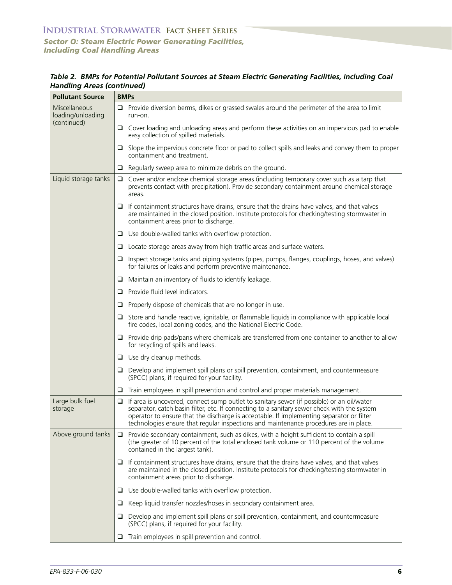| <b>Pollutant Source</b>            | <b>BMPs</b>                                                                                                                                                                                                                                                                                                                                                                             |  |
|------------------------------------|-----------------------------------------------------------------------------------------------------------------------------------------------------------------------------------------------------------------------------------------------------------------------------------------------------------------------------------------------------------------------------------------|--|
| Miscellaneous<br>loading/unloading | $\Box$ Provide diversion berms, dikes or grassed swales around the perimeter of the area to limit<br>run-on.                                                                                                                                                                                                                                                                            |  |
| (continued)                        | $\Box$ Cover loading and unloading areas and perform these activities on an impervious pad to enable<br>easy collection of spilled materials.                                                                                                                                                                                                                                           |  |
|                                    | $\Box$ Slope the impervious concrete floor or pad to collect spills and leaks and convey them to proper<br>containment and treatment.                                                                                                                                                                                                                                                   |  |
|                                    | Regularly sweep area to minimize debris on the ground.<br>u.                                                                                                                                                                                                                                                                                                                            |  |
| Liquid storage tanks               | Cover and/or enclose chemical storage areas (including temporary cover such as a tarp that<br>prevents contact with precipitation). Provide secondary containment around chemical storage<br>areas.                                                                                                                                                                                     |  |
|                                    | $\Box$ If containment structures have drains, ensure that the drains have valves, and that valves<br>are maintained in the closed position. Institute protocols for checking/testing stormwater in<br>containment areas prior to discharge.                                                                                                                                             |  |
|                                    | $\Box$ Use double-walled tanks with overflow protection.                                                                                                                                                                                                                                                                                                                                |  |
|                                    | $\Box$ Locate storage areas away from high traffic areas and surface waters.                                                                                                                                                                                                                                                                                                            |  |
|                                    | Inspect storage tanks and piping systems (pipes, pumps, flanges, couplings, hoses, and valves)<br>⊔<br>for failures or leaks and perform preventive maintenance.                                                                                                                                                                                                                        |  |
|                                    | Maintain an inventory of fluids to identify leakage.<br>□                                                                                                                                                                                                                                                                                                                               |  |
|                                    | Provide fluid level indicators.<br>⊔                                                                                                                                                                                                                                                                                                                                                    |  |
|                                    | Properly dispose of chemicals that are no longer in use.<br>u                                                                                                                                                                                                                                                                                                                           |  |
|                                    | $\Box$ Store and handle reactive, ignitable, or flammable liquids in compliance with applicable local<br>fire codes, local zoning codes, and the National Electric Code.                                                                                                                                                                                                                |  |
|                                    | $\Box$ Provide drip pads/pans where chemicals are transferred from one container to another to allow<br>for recycling of spills and leaks.                                                                                                                                                                                                                                              |  |
|                                    | $\Box$ Use dry cleanup methods.                                                                                                                                                                                                                                                                                                                                                         |  |
|                                    | Develop and implement spill plans or spill prevention, containment, and countermeasure<br>O.<br>(SPCC) plans, if required for your facility.                                                                                                                                                                                                                                            |  |
|                                    | Train employees in spill prevention and control and proper materials management.<br>□                                                                                                                                                                                                                                                                                                   |  |
| Large bulk fuel<br>storage         | If area is uncovered, connect sump outlet to sanitary sewer (if possible) or an oil/water<br>$\Box$<br>separator, catch basin filter, etc. If connecting to a sanitary sewer check with the system<br>operator to ensure that the discharge is acceptable. If implementing separator or filter<br>technologies ensure that regular inspections and maintenance procedures are in place. |  |
| Above ground tanks                 | Provide secondary containment, such as dikes, with a height sufficient to contain a spill<br>⊔<br>(the greater of 10 percent of the total enclosed tank volume or 110 percent of the volume<br>contained in the largest tank).                                                                                                                                                          |  |
|                                    | $\Box$ If containment structures have drains, ensure that the drains have valves, and that valves<br>are maintained in the closed position. Institute protocols for checking/testing stormwater in<br>containment areas prior to discharge.                                                                                                                                             |  |
|                                    | Use double-walled tanks with overflow protection.<br>u                                                                                                                                                                                                                                                                                                                                  |  |
|                                    | Keep liquid transfer nozzles/hoses in secondary containment area.<br>⊔                                                                                                                                                                                                                                                                                                                  |  |
|                                    | Develop and implement spill plans or spill prevention, containment, and countermeasure<br>⊔<br>(SPCC) plans, if required for your facility.                                                                                                                                                                                                                                             |  |
|                                    | Train employees in spill prevention and control.<br>⊔                                                                                                                                                                                                                                                                                                                                   |  |

*Table 2. BMPs for Potential Pollutant Sources at Steam Electric Generating Facilities, including Coal Handling Areas (continued)*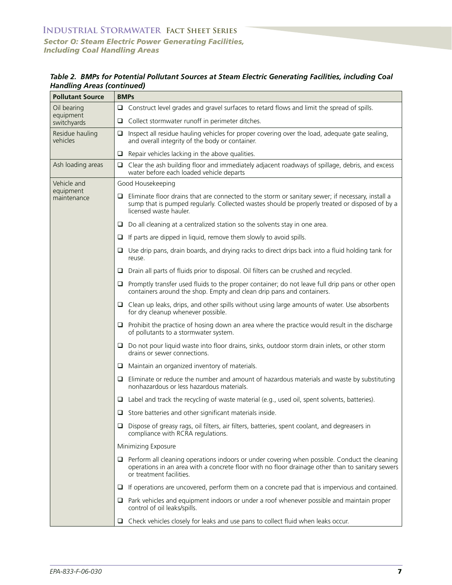| <b>Pollutant Source</b>     | <b>BMPs</b>                                                                                                                                                                                                                        |  |
|-----------------------------|------------------------------------------------------------------------------------------------------------------------------------------------------------------------------------------------------------------------------------|--|
| Oil bearing                 | Construct level grades and gravel surfaces to retard flows and limit the spread of spills.<br>o.                                                                                                                                   |  |
| equipment<br>switchyards    | Collect stormwater runoff in perimeter ditches.<br>o.                                                                                                                                                                              |  |
| Residue hauling<br>vehicles | Inspect all residue hauling vehicles for proper covering over the load, adequate gate sealing,<br>o.<br>and overall integrity of the body or container.                                                                            |  |
|                             | Repair vehicles lacking in the above qualities.<br>o.                                                                                                                                                                              |  |
| Ash loading areas           | Clear the ash building floor and immediately adjacent roadways of spillage, debris, and excess<br>u<br>water before each loaded vehicle departs                                                                                    |  |
| Vehicle and                 | Good Housekeeping                                                                                                                                                                                                                  |  |
| equipment<br>maintenance    | Eliminate floor drains that are connected to the storm or sanitary sewer; if necessary, install a<br>u<br>sump that is pumped regularly. Collected wastes should be properly treated or disposed of by a<br>licensed waste hauler. |  |
|                             | Do all cleaning at a centralized station so the solvents stay in one area.<br>u                                                                                                                                                    |  |
|                             | If parts are dipped in liquid, remove them slowly to avoid spills.<br>o.                                                                                                                                                           |  |
|                             | Use drip pans, drain boards, and drying racks to direct drips back into a fluid holding tank for<br>u<br>reuse.                                                                                                                    |  |
|                             | Drain all parts of fluids prior to disposal. Oil filters can be crushed and recycled.<br>u                                                                                                                                         |  |
|                             | Promptly transfer used fluids to the proper container; do not leave full drip pans or other open<br>u<br>containers around the shop. Empty and clean drip pans and containers.                                                     |  |
|                             | Clean up leaks, drips, and other spills without using large amounts of water. Use absorbents<br>u.<br>for dry cleanup whenever possible.                                                                                           |  |
|                             | Prohibit the practice of hosing down an area where the practice would result in the discharge<br>⊔<br>of pollutants to a stormwater system.                                                                                        |  |
|                             | Do not pour liquid waste into floor drains, sinks, outdoor storm drain inlets, or other storm<br>u.<br>drains or sewer connections.                                                                                                |  |
|                             | Maintain an organized inventory of materials.<br>u                                                                                                                                                                                 |  |
|                             | Eliminate or reduce the number and amount of hazardous materials and waste by substituting<br>o<br>nonhazardous or less hazardous materials.                                                                                       |  |
|                             | Label and track the recycling of waste material (e.g., used oil, spent solvents, batteries).<br>u                                                                                                                                  |  |
|                             | $\Box$ Store batteries and other significant materials inside.                                                                                                                                                                     |  |
|                             | □ Dispose of greasy rags, oil filters, air filters, batteries, spent coolant, and degreasers in<br>compliance with RCRA regulations.                                                                                               |  |
|                             | Minimizing Exposure                                                                                                                                                                                                                |  |
|                             | Perform all cleaning operations indoors or under covering when possible. Conduct the cleaning<br>u<br>operations in an area with a concrete floor with no floor drainage other than to sanitary sewers<br>or treatment facilities. |  |
|                             | If operations are uncovered, perform them on a concrete pad that is impervious and contained.<br>u                                                                                                                                 |  |
|                             | Park vehicles and equipment indoors or under a roof whenever possible and maintain proper<br>u<br>control of oil leaks/spills.                                                                                                     |  |
|                             | Check vehicles closely for leaks and use pans to collect fluid when leaks occur.<br>□                                                                                                                                              |  |

*Table 2. BMPs for Potential Pollutant Sources at Steam Electric Generating Facilities, including Coal Handling Areas (continued)*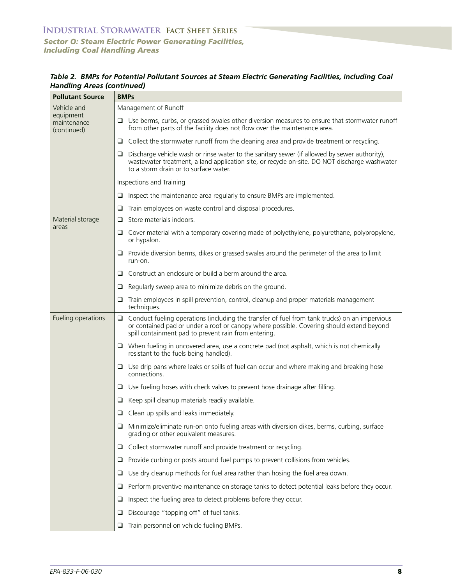| <b>Pollutant Source</b>                 | <b>BMPs</b>                                                                                                                                                                                                                                            |  |
|-----------------------------------------|--------------------------------------------------------------------------------------------------------------------------------------------------------------------------------------------------------------------------------------------------------|--|
| Vehicle and                             | Management of Runoff                                                                                                                                                                                                                                   |  |
| equipment<br>maintenance<br>(continued) | $\Box$ Use berms, curbs, or grassed swales other diversion measures to ensure that stormwater runoff<br>from other parts of the facility does not flow over the maintenance area.                                                                      |  |
|                                         | $\Box$ Collect the stormwater runoff from the cleaning area and provide treatment or recycling.                                                                                                                                                        |  |
|                                         | Discharge vehicle wash or rinse water to the sanitary sewer (if allowed by sewer authority),<br>⊔<br>wastewater treatment, a land application site, or recycle on-site. DO NOT discharge washwater<br>to a storm drain or to surface water.            |  |
|                                         | Inspections and Training                                                                                                                                                                                                                               |  |
|                                         | $\Box$ Inspect the maintenance area regularly to ensure BMPs are implemented.                                                                                                                                                                          |  |
|                                         | Train employees on waste control and disposal procedures.<br>⊔                                                                                                                                                                                         |  |
| Material storage                        | Store materials indoors.<br>$\Box$                                                                                                                                                                                                                     |  |
| areas                                   | Cover material with a temporary covering made of polyethylene, polyurethane, polypropylene,<br>u<br>or hypalon.                                                                                                                                        |  |
|                                         | $\Box$ Provide diversion berms, dikes or grassed swales around the perimeter of the area to limit<br>run-on.                                                                                                                                           |  |
|                                         | Construct an enclosure or build a berm around the area.<br>⊔                                                                                                                                                                                           |  |
|                                         | Regularly sweep area to minimize debris on the ground.<br>u                                                                                                                                                                                            |  |
|                                         | Train employees in spill prevention, control, cleanup and proper materials management<br>⊔<br>techniques.                                                                                                                                              |  |
| Fueling operations                      | Conduct fueling operations (including the transfer of fuel from tank trucks) on an impervious<br>□<br>or contained pad or under a roof or canopy where possible. Covering should extend beyond<br>spill containment pad to prevent rain from entering. |  |
|                                         | $\Box$ When fueling in uncovered area, use a concrete pad (not asphalt, which is not chemically<br>resistant to the fuels being handled).                                                                                                              |  |
|                                         | $\Box$ Use drip pans where leaks or spills of fuel can occur and where making and breaking hose<br>connections.                                                                                                                                        |  |
|                                         | $\Box$ Use fueling hoses with check valves to prevent hose drainage after filling.                                                                                                                                                                     |  |
|                                         | Keep spill cleanup materials readily available.<br>u                                                                                                                                                                                                   |  |
|                                         | $\Box$ Clean up spills and leaks immediately.                                                                                                                                                                                                          |  |
|                                         | Minimize/eliminate run-on onto fueling areas with diversion dikes, berms, curbing, surface<br>grading or other equivalent measures.                                                                                                                    |  |
|                                         | Collect stormwater runoff and provide treatment or recycling.<br>⊔                                                                                                                                                                                     |  |
|                                         | Provide curbing or posts around fuel pumps to prevent collisions from vehicles.<br>⊔                                                                                                                                                                   |  |
|                                         | Use dry cleanup methods for fuel area rather than hosing the fuel area down.<br>⊔                                                                                                                                                                      |  |
|                                         | Perform preventive maintenance on storage tanks to detect potential leaks before they occur.<br>⊔                                                                                                                                                      |  |
|                                         | Inspect the fueling area to detect problems before they occur.<br>⊔                                                                                                                                                                                    |  |
|                                         | Discourage "topping off" of fuel tanks.<br>u                                                                                                                                                                                                           |  |
|                                         | Train personnel on vehicle fueling BMPs.<br>⊔                                                                                                                                                                                                          |  |

*Table 2. BMPs for Potential Pollutant Sources at Steam Electric Generating Facilities, including Coal Handling Areas (continued)*